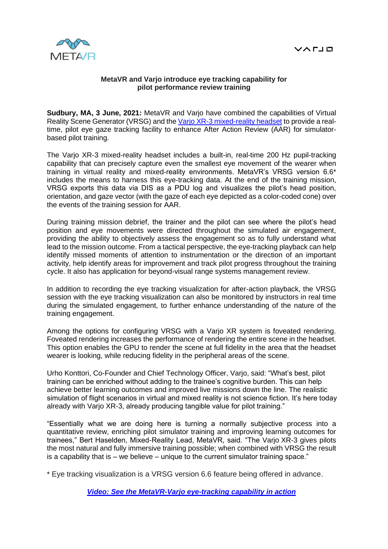

## **MetaVR and Varjo introduce eye tracking capability for pilot performance review training**

**Sudbury, MA, 3 June, 2021:** MetaVR and Varjo have combined the capabilities of Virtual Reality Scene Generator (VRSG) and the [Varjo XR-3 mixed-reality headset](https://www.varjo.com/products/xr-3) to provide a realtime, pilot eye gaze tracking facility to enhance After Action Review (AAR) for simulatorbased pilot training.

The Varjo XR-3 mixed-reality headset includes a built-in, real-time 200 Hz pupil-tracking capability that can precisely capture even the smallest eye movement of the wearer when training in virtual reality and mixed-reality environments. MetaVR's VRSG version 6.6\* includes the means to harness this eye-tracking data. At the end of the training mission, VRSG exports this data via DIS as a PDU log and visualizes the pilot's head position, orientation, and gaze vector (with the gaze of each eye depicted as a color-coded cone) over the events of the training session for AAR.

During training mission debrief, the trainer and the pilot can see where the pilot's head position and eye movements were directed throughout the simulated air engagement, providing the ability to objectively assess the engagement so as to fully understand what lead to the mission outcome. From a tactical perspective, the eye-tracking playback can help identify missed moments of attention to instrumentation or the direction of an important activity, help identify areas for improvement and track pilot progress throughout the training cycle. It also has application for beyond-visual range systems management review.

In addition to recording the eye tracking visualization for after-action playback, the VRSG session with the eye tracking visualization can also be monitored by instructors in real time during the simulated engagement, to further enhance understanding of the nature of the training engagement.

Among the options for configuring VRSG with a Varjo XR system is foveated rendering. Foveated rendering increases the performance of rendering the entire scene in the headset. This option enables the GPU to render the scene at full fidelity in the area that the headset wearer is looking, while reducing fidelity in the peripheral areas of the scene.

Urho Konttori, Co-Founder and Chief Technology Officer, Varjo, said: "What's best, pilot training can be enriched without adding to the trainee's cognitive burden. This can help achieve better learning outcomes and improved live missions down the line. The realistic simulation of flight scenarios in virtual and mixed reality is not science fiction. It's here today already with Varjo XR-3, already producing tangible value for pilot training."

"Essentially what we are doing here is turning a normally subjective process into a quantitative review, enriching pilot simulator training and improving learning outcomes for trainees," Bert Haselden, Mixed-Reality Lead, MetaVR, said. "The Varjo XR-3 gives pilots the most natural and fully immersive training possible; when combined with VRSG the result is a capability that is  $-$  we believe  $-$  unique to the current simulator training space."

\* Eye tracking visualization is a VRSG version 6.6 feature being offered in advance.

*[Video: See the MetaVR-Varjo eye-tracking capability in action](https://www.metavr.com/sites/default/files/m-video/2021/Varjo_MetaVR_Collaboration.mp4)*